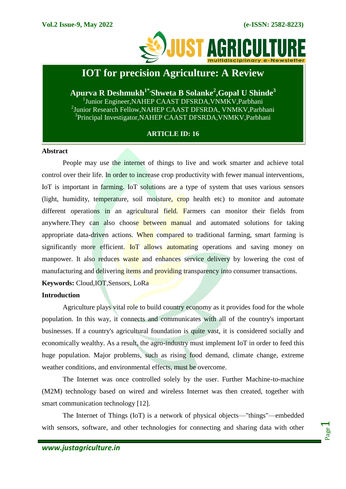

# **IOT for precision Agriculture: A Review**

**Apurva R Deshmukh1\*,Shweta B Solanke<sup>2</sup> ,Gopal U Shinde<sup>3</sup>** <sup>1</sup>Junior Engineer, NAHEP CAAST DFSRDA, VNMKV, Parbhani 2 Junior Research Fellow,NAHEP CAAST DFSRDA, VNMKV,Parbhani <sup>3</sup>Principal Investigator, NAHEP CAAST DFSRDA, VNMKV, Parbhani

# **ARTICLE ID: 16**

## **Abstract**

People may use the internet of things to live and work smarter and achieve total control over their life. In order to increase crop productivity with fewer manual interventions, IoT is important in farming. IoT solutions are a type of system that uses various sensors (light, humidity, temperature, soil moisture, crop health etc) to monitor and automate different operations in an agricultural field. Farmers can monitor their fields from anywhere. They can also choose between manual and automated solutions for taking appropriate data-driven actions. When compared to traditional farming, smart farming is significantly more efficient. IoT allows automating operations and saving money on manpower. It also reduces waste and enhances service delivery by lowering the cost of manufacturing and delivering items and providing transparency into consumer transactions. **Keywords:** Cloud,IOT,Sensors, LoRa

## **Introduction**

Agriculture plays vital role to build country economy as it provides food for the whole population. In this way, it connects and communicates with all of the country's important businesses. If a country's agricultural foundation is quite vast, it is considered socially and economically wealthy. As a result, the agro-industry must implement IoT in order to feed this huge population. Major problems, such as rising food demand, climate change, extreme weather conditions, and environmental effects, must be overcome.

The Internet was once controlled solely by the user. Further Machine-to-machine (M2M) technology based on wired and wireless Internet was then created, together with smart communication technology [12].

The Internet of Things (IoT) is a network of physical objects—"things"—embedded with sensors, software, and other technologies for connecting and sharing data with other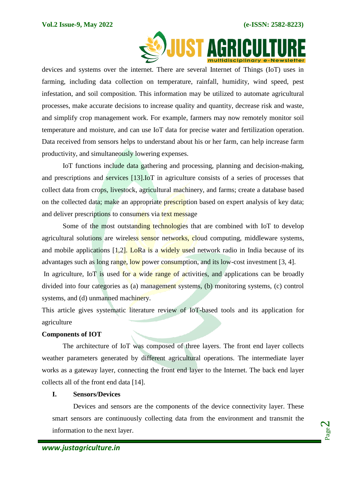

devices and systems over the internet. There are several Internet of Things (IoT) uses in farming, including data collection on temperature, rainfall, humidity, wind speed, pest infestation, and soil composition. This information may be utilized to automate agricultural processes, make accurate decisions to increase quality and quantity, decrease risk and waste, and simplify crop management work. For example, farmers may now remotely monitor soil temperature and moisture, and can use IoT data for precise water and fertilization operation. Data received from sensors helps to understand about his or her farm, can help increase farm productivity, and simultaneously lowering expenses.

IoT functions include data gathering and processing, planning and decision-making, and prescriptions and services [13].IoT in agriculture consists of a series of processes that collect data from crops, livestock, agricultural machinery, and farms; create a database based on the collected data; make an appropriate prescription based on expert analysis of key data; and deliver prescriptions to consumers via text message

Some of the most outstanding technologies that are combined with IoT to develop agricultural solutions are wireless sensor networks, cloud computing, middleware systems, and mobile applications [1,2]. LoRa is a widely used network radio in India because of its advantages such as long range, low power consumption, and its low-cost investment [3, 4]. In agriculture, IoT is used for a wide range of activities, and applications can be broadly divided into four categories as (a) management systems, (b) monitoring systems, (c) control systems, and (d) unmanned machinery.

This article gives systematic literature review of IoT-based tools and its application for agriculture

## **Components of IOT**

The architecture of IoT was composed of three layers. The front end layer collects weather parameters generated by different agricultural operations. The intermediate layer works as a gateway layer, connecting the front end layer to the Internet. The back end layer collects all of the front end data [14].

## **I. Sensors/Devices**

Devices and sensors are the components of the device connectivity layer. These smart sensors are continuously collecting data from the environment and transmit the information to the next layer.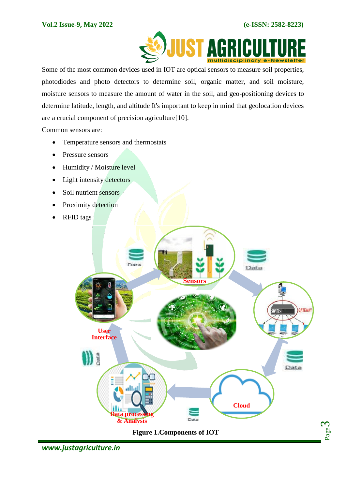Page က $\,$ 



 Some of the most common devices used in IOT are optical sensors to measure soil properties, photodiodes and photo detectors to determine soil, organic matter, and soil moisture, moisture sensors to measure the amount of water in the soil, and geo-positioning devices to determine latitude, length, and altitude It's important to keep in mind that geolocation devices are a crucial component of precision agriculture[10].

Common sensors are:

- Temperature sensors and thermostats
- Pressure sensors
- Humidity / Moisture level
- Light intensity detectors
- Soil nutrient sensors
- Proximity detection
- RFID tags

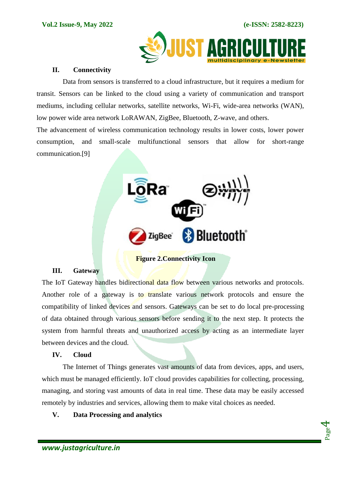

## **II. Connectivity**

Data from sensors is transferred to a cloud infrastructure, but it requires a medium for transit. Sensors can be linked to the cloud using a variety of communication and transport mediums, including cellular networks, satellite networks, Wi-Fi, wide-area networks (WAN), low power wide area network LoRAWAN, ZigBee, Bluetooth, Z-wave, and others.

The advancement of wireless communication technology results in lower costs, lower power consumption, and small-scale multifunctional sensors that allow for short-range communication.[9]



**Figure 2.Connectivity Icon**

## **III. Gateway**

The IoT Gateway handles bidirectional data flow between various networks and protocols. Another role of a gateway is to translate various network protocols and ensure the compatibility of linked devices and sensors. Gateways can be set to do local pre-processing of data obtained through various sensors before sending it to the next step. It protects the system from harmful threats and unauthorized access by acting as an intermediate layer between devices and the cloud.

## **IV. Cloud**

The Internet of Things generates vast amounts of data from devices, apps, and users, which must be managed efficiently. IoT cloud provides capabilities for collecting, processing, managing, and storing vast amounts of data in real time. These data may be easily accessed remotely by industries and services, allowing them to make vital choices as needed.

## **V. Data Processing and analytics**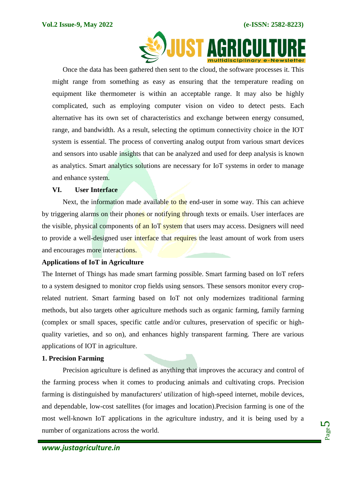

Once the data has been gathered then sent to the cloud, the software processes it. This might range from something as easy as ensuring that the temperature reading on equipment like thermometer is within an acceptable range. It may also be highly complicated, such as employing computer vision on video to detect pests. Each alternative has its own set of characteristics and exchange between energy consumed, range, and bandwidth. As a result, selecting the optimum connectivity choice in the IOT system is essential. The process of converting analog output from various smart devices and sensors into usable insights that can be analyzed and used for deep analysis is known as analytics. Smart analytics solutions are necessary for IoT systems in order to manage and enhance system.

#### **VI. User Interface**

Next, the information made available to the end-user in some way. This can achieve by triggering alarms on their phones or notifying through texts or emails. User interfaces are the visible, physical components of an IoT system that users may access. Designers will need to provide a well-designed user interface that requires the least amount of work from users and encourages more interactions.

## **Applications of IoT in Agriculture**

The Internet of Things has made smart farming possible. Smart farming based on IoT refers to a system designed to monitor crop fields using sensors. These sensors monitor every croprelated nutrient. Smart farming based on IoT not only modernizes traditional farming methods, but also targets other agriculture methods such as organic farming, family farming (complex or small spaces, specific cattle and/or cultures, preservation of specific or highquality varieties, and so on), and enhances highly transparent farming. There are various applications of IOT in agriculture.

## **1. Precision Farming**

Precision agriculture is defined as anything that improves the accuracy and control of the farming process when it comes to producing animals and cultivating crops. Precision farming is distinguished by manufacturers' utilization of high-speed internet, mobile devices, and dependable, low-cost satellites (for images and location).Precision farming is one of the most well-known IoT applications in the agriculture industry, and it is being used by a number of organizations across the world.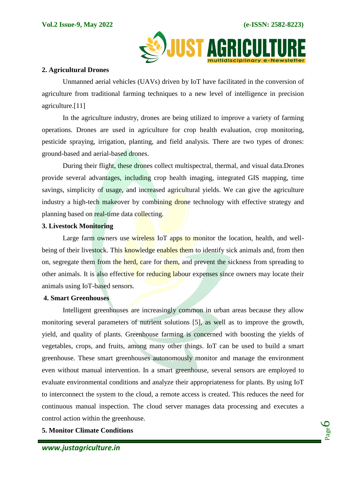

## **2. Agricultural Drones**

Unmanned aerial vehicles (UAVs) driven by IoT have facilitated in the conversion of agriculture from traditional farming techniques to a new level of intelligence in precision agriculture.[11]

In the agriculture industry, drones are being utilized to improve a variety of farming operations. Drones are used in agriculture for crop health evaluation, crop monitoring, pesticide spraying, irrigation, planting, and field analysis. There are two types of drones: ground-based and aerial-based drones.

During their flight, these drones collect multispectral, thermal, and visual data.Drones provide several advantages, including crop health imaging, integrated GIS mapping, time savings, simplicity of usage, and increased agricultural yields. We can give the agriculture industry a high-tech makeover by combining drone technology with effective strategy and planning based on real-time data collecting.

## **3. Livestock Monitoring**

Large farm owners use wireless IoT apps to monitor the location, health, and wellbeing of their livestock. This knowledge enables them to identify sick animals and, from then on, segregate them from the herd, care for them, and prevent the sickness from spreading to other animals. It is also effective for reducing labour expenses since owners may locate their animals using IoT-based sensors.

## **4. Smart Greenhouses**

Intelligent greenhouses are increasingly common in urban areas because they allow monitoring several parameters of nutrient solutions [5], as well as to improve the growth, yield, and quality of plants. Greenhouse farming is concerned with boosting the yields of vegetables, crops, and fruits, among many other things. IoT can be used to build a smart greenhouse. These smart greenhouses autonomously monitor and manage the environment even without manual intervention. In a smart greenhouse, several sensors are employed to evaluate environmental conditions and analyze their appropriateness for plants. By using IoT to interconnect the system to the cloud, a remote access is created. This reduces the need for continuous manual inspection. The cloud server manages data processing and executes a control action within the greenhouse.

# **5. Monitor Climate Conditions**

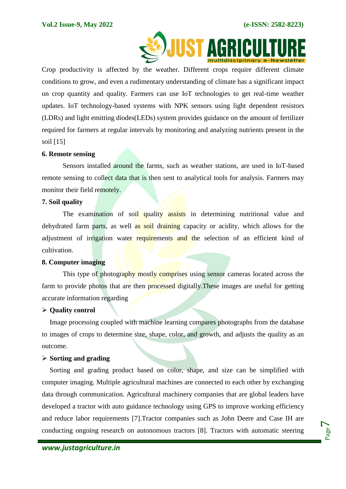

Crop productivity is affected by the weather. Different crops require different climate conditions to grow, and even a rudimentary understanding of climate has a significant impact on crop quantity and quality. Farmers can use IoT technologies to get real-time weather updates. IoT technology-based systems with NPK sensors using light dependent resistors (LDRs) and light emitting diodes(LEDs) system provides guidance on the amount of fertilizer required for farmers at regular intervals by monitoring and analyzing nutrients present in the soil [15]

## **6. Remote sensing**

Sensors installed around the farms, such as weather stations, are used in IoT-based remote sensing to collect data that is then sent to analytical tools for analysis. Farmers may monitor their field remotely.

## **7. Soil quality**

The examination of soil quality assists in determining nutritional value and dehydrated farm parts, as well as soil draining capacity or acidity, which allows for the adjustment of irrigation water requirements and the selection of an efficient kind of cultivation.

## **8. Computer imaging**

This type of photography mostly comprises using sensor cameras located across the farm to provide photos that are then processed digitally. These images are useful for getting accurate information regarding

# **► Ouality control**

Image processing coupled with machine learning compares photographs from the database to images of crops to determine size, shape, color, and growth, and adjusts the quality as an outcome.

## **Sorting and grading**

Sorting and grading product based on color, shape, and size can be simplified with computer imaging. Multiple agricultural machines are connected to each other by exchanging data through communication. Agricultural machinery companies that are global leaders have developed a tractor with auto guidance technology using GPS to improve working efficiency and reduce labor requirements [7].Tractor companies such as John Deere and Case IH are conducting ongoing research on autonomous tractors [8]. Tractors with automatic steering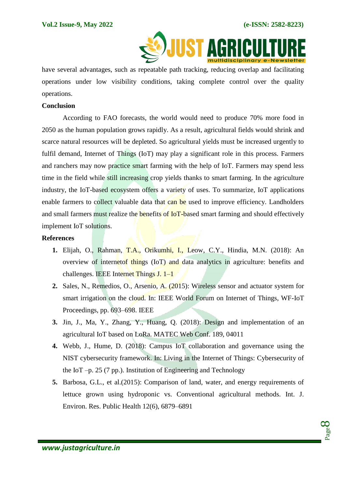

 have several advantages, such as repeatable path tracking, reducing overlap and facilitating operations under low visibility conditions, taking complete control over the quality operations.

## **Conclusion**

According to FAO forecasts, the world would need to produce 70% more food in 2050 as the human population grows rapidly. As a result, agricultural fields would shrink and scarce natural resources will be depleted. So agricultural yields must be increased urgently to fulfil demand, Internet of Things (IoT) may play a significant role in this process. Farmers and ranchers may now practice smart farming with the help of IoT. Farmers may spend less time in the field while still increasing crop yields thanks to smart farming. In the agriculture industry, the IoT-based ecosystem offers a variety of uses. To summarize, IoT applications enable farmers to collect valuable data that can be used to improve efficiency. Landholders and small farmers must realize the **benefits of IoT-based** smart farming and should effectively implement IoT solutions.

## **References**

- **1.** Elijah, O., Rahman, T.A., Orikumhi, I., Leow, C.Y., Hindia, M.N. (2018): An overview of internetof things (IoT) and data analytics in agriculture: benefits and challenges. IEEE Internet Things J. 1–1
- **2.** Sales, N., Remedios, O., Arsenio, A. (2015): Wireless sensor and actuator system for smart irrigation on the cloud. In: IEEE World Forum on Internet of Things, WF-IoT Proceedings, pp. 693–698. IEEE
- **3.** Jin, J., Ma, Y., Zhang, Y., Huang, Q. (2018): Design and implementation of an agricultural IoT based on LoRa. MATEC Web Conf. 189, 04011
- **4.** Webb, J., Hume, D. (2018): Campus IoT collaboration and governance using the NIST cybersecurity framework. In: Living in the Internet of Things: Cybersecurity of the IoT –p. 25 (7 pp.). Institution of Engineering and Technology
- **5.** Barbosa, G.L., et al.(2015): Comparison of land, water, and energy requirements of lettuce grown using hydroponic vs. Conventional agricultural methods. Int. J. Environ. Res. Public Health 12(6), 6879–6891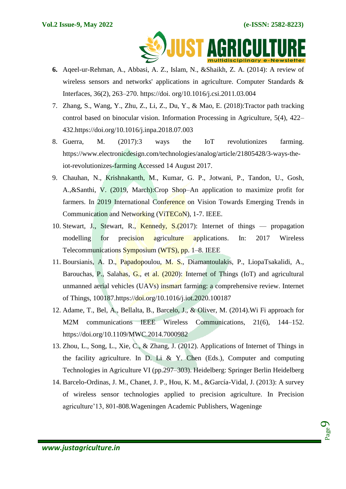

- **6.** Aqeel-ur-Rehman, A., Abbasi, A. Z., Islam, N., &Shaikh, Z. A. (2014): A review of wireless sensors and networks' applications in agriculture. Computer Standards & Interfaces, 36(2), 263–270. https://doi. org/10.1016/j.csi.2011.03.004
- 7. Zhang, S., Wang, Y., Zhu, Z., Li, Z., Du, Y., & Mao, E. (2018):Tractor path tracking control based on binocular vision. Information Processing in Agriculture, 5(4), 422– 432[.https://doi.org/10.1016/j.inpa.2018.07.003](https://doi.org/10.1016/j.inpa.2018.07.003)
- 8. Guerra, M. (2017):3 ways the IoT revolutionizes farming. [https://www.electronicdesign.com/technologies/analog/article/21805428/3-ways-the](https://www.electronicdesign.com/technologies/analog/article/21805428/3-ways-the-iot-revolutionizes-farming%20Accessed%2014%20August%202017)[iot-revolutionizes-farming Accessed 14 August 2017.](https://www.electronicdesign.com/technologies/analog/article/21805428/3-ways-the-iot-revolutionizes-farming%20Accessed%2014%20August%202017)
- 9. Chauhan, N., Krishnakanth, M., Kumar, G. P., Jotwani, P., Tandon, U., Gosh, A.,&Santhi, V. (2019, March):Crop Shop–An application to maximize profit for farmers. In 2019 International Conference on Vision Towards Emerging Trends in Communication and Networking (ViTECoN), 1-7. IEEE.
- 10. Stewart, J., Stewart, R., Kennedy, S.(2017): Internet of things propagation modelling for precision agriculture applications. In: 2017 Wireless Telecommunications Symposium (WTS), pp. 1–8. IEEE
- 11. Boursianis, A. D., Papadopoulou, M. S., Diamantoulakis, P., LiopaTsakalidi, A., Barouchas, P., Salahas, G., et al. (2020): Internet of Things (IoT) and agricultural unmanned aerial vehicles  $(UAVs)$  insmart farming: a comprehensive review. Internet of Things, 100187[.https://doi.org/10.1016/j.iot.2020.100187](https://doi.org/10.1016/j.iot.2020.100187)
- 12. Adame, T., Bel, A., Bellalta, B., Barcelo, J., & Oliver, M. (2014).Wi Fi approach for M2M communications IEEE Wireless Communications, 21(6), 144–152. <https://doi.org/10.1109/MWC.2014.7000982>
- 13. Zhou, L., Song, L., Xie, C., & Zhang, J. (2012). Applications of Internet of Things in the facility agriculture. In D. Li & Y. Chen (Eds.), Computer and computing Technologies in Agriculture VI (pp.297–303). Heidelberg: Springer Berlin Heidelberg
- 14. Barcelo-Ordinas, J. M., Chanet, J. P., Hou, K. M., &García-Vidal, J. (2013): A survey of wireless sensor technologies applied to precision agriculture. In Precision agriculture'13, 801-808.Wageningen Academic Publishers, Wageninge